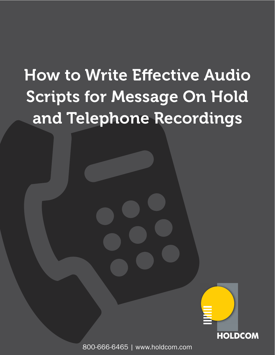# How to Write Effective Audio Scripts for Message On Hold and Telephone Recordings



800-666-6465 | www.holdcom.com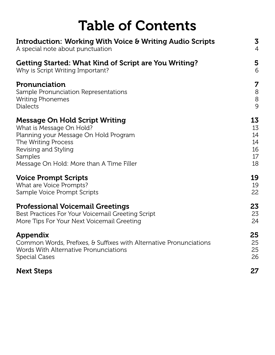| <b>Table of Contents</b>                                            |                |
|---------------------------------------------------------------------|----------------|
| <b>Introduction: Working With Voice &amp; Writing Audio Scripts</b> | 3              |
| A special note about punctuation                                    | $\overline{4}$ |
| <b>Getting Started: What Kind of Script are You Writing?</b>        | 5              |
| Why is Script Writing Important?                                    | 6              |
| Pronunciation                                                       | 7              |
| Sample Pronunciation Representations                                | $\,8\,$        |
| <b>Writing Phonemes</b>                                             | 8              |
| <b>Dialects</b>                                                     | 9              |
| <b>Message On Hold Script Writing</b>                               | 13             |
| What is Message On Hold?                                            | 13             |
| Planning your Message On Hold Program                               | 14             |
| The Writing Process                                                 | 14             |
| Revising and Styling                                                | 16             |
| Samples                                                             | 17             |
| Message On Hold: More than A Time Filler                            | 18             |
| <b>Voice Prompt Scripts</b>                                         | 19             |
| What are Voice Prompts?                                             | 19             |
| Sample Voice Prompt Scripts                                         | 22             |
| <b>Professional Voicemail Greetings</b>                             | 23             |
| Best Practices For Your Voicemail Greeting Script                   | 23             |
| More Tips For Your Next Voicemail Greeting                          | 24             |
| Appendix                                                            | 25             |
| Common Words, Prefixes, & Suffixes with Alternative Pronunciations  | 25             |
| Words With Alternative Pronunciations                               | 25             |
| <b>Special Cases</b>                                                | 26             |
| <b>Next Steps</b>                                                   | 27             |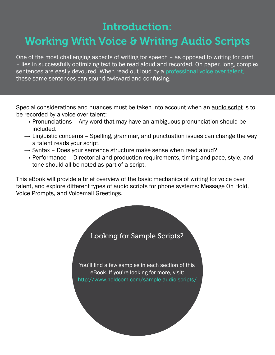# Introduction:

## <span id="page-2-0"></span>Working With Voice & Writing Audio Scripts

One of the most challenging aspects of writing for speech – as opposed to writing for print – lies in successfully optimizing text to be read aloud and recorded. On paper, long, complex sentences are easily devoured. When read out loud by a [professional voice over talent,](http://www.holdcom.com/voice_talent.php/) these same sentences can sound awkward and confusing.

Special considerations and nuances must be taken into account when an audio script is to be recorded by a voice over talent:

- $\rightarrow$  Pronunciations Any word that may have an ambiguous pronunciation should be included.
- $\rightarrow$  Linguistic concerns Spelling, grammar, and punctuation issues can change the way a talent reads your script.
- $\rightarrow$  Syntax Does your sentence structure make sense when read aloud?
- $\rightarrow$  Performance Directorial and production requirements, timing and pace, style, and tone should all be noted as part of a script.

This eBook will provide a brief overview of the basic mechanics of writing for voice over talent, and explore different types of audio scripts for phone systems: Message On Hold, Voice Prompts, and Voicemail Greetings.

Looking for Sample Scripts?

You'll find a few samples in each section of this eBook. If you're looking for more, visit: <http://www.holdcom.com/sample-audio-scripts/>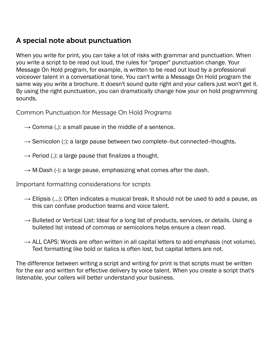#### <span id="page-3-0"></span>A special note about punctuation

When you write for print, you can take a lot of risks with grammar and punctuation. When you write a script to be read out loud, the rules for "proper" punctuation change. Your Message On Hold program, for example, is written to be read out loud by a professional voiceover talent in a conversational tone. You can't write a Message On Hold program the same way you write a brochure. It doesn't sound quite right and your callers just won't get it. By using the right punctuation, you can dramatically change how your on hold programming sounds.

Common Punctuation for Message On Hold Programs

- $\rightarrow$  Comma (,): a small pause in the middle of a sentence.
- $\rightarrow$  Semicolon (:): a large pause between two complete--but connected--thoughts.
- $\rightarrow$  Period (.): a large pause that finalizes a thought.
- $\rightarrow$  M-Dash (-): a large pause, emphasizing what comes after the dash.

Important formatting considerations for scripts

- $\rightarrow$  Ellipsis (...): Often indicates a musical break. It should not be used to add a pause, as this can confuse production teams and voice talent.
- $\rightarrow$  Bulleted or Vertical List: Ideal for a long list of products, services, or details. Using a bulleted list instead of commas or semicolons helps ensure a clean read.
- $\rightarrow$  ALL CAPS: Words are often written in all capital letters to add emphasis (not volume). Text formatting like bold or italics is often lost, but capital letters are not.

The difference between writing a script and writing for print is that scripts must be written for the ear and written for effective delivery by voice talent. When you create a script that's listenable, your callers will better understand your business.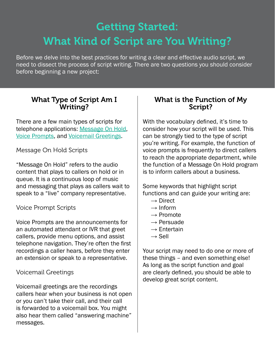# <span id="page-4-0"></span>Getting Started: What Kind of Script are You Writing?

Before we delve into the best practices for writing a clear and effective audio script, we need to dissect the process of script writing. There are two questions you should consider before beginning a new project:

#### What Type of Script Am I Writing?

There are a few main types of scripts for telephone applications: [Message On Hold,](http://www.holdcom.com/message-on-hold/) [Voice Prompts,](http://www.holdcom.com/voice-prompts-ivr) and [Voicemail Greetings.](http://www.holdcom.com/voicemailgreetings/)

#### Message On Hold Scripts

"Message On Hold" refers to the audio content that plays to callers on hold or in queue. It is a continuous loop of music and messaging that plays as callers wait to speak to a "live" company representative.

#### Voice Prompt Scripts

Voice Prompts are the announcements for an automated attendant or IVR that greet callers, provide menu options, and assist telephone navigation. They're often the first recordings a caller hears, before they enter an extension or speak to a representative.

#### Voicemail Greetings

Voicemail greetings are the recordings callers hear when your business is not open or you can't take their call, and their call is forwarded to a voicemail box. You might also hear them called "answering machine" messages.

#### What is the Function of My Script?

With the vocabulary defined, it's time to consider how your script will be used. This can be strongly tied to the type of script you're writing. For example, the function of voice prompts is frequently to direct callers to reach the appropriate department, while the function of a Message On Hold program is to inform callers about a business.

Some keywords that highlight script functions and can guide your writing are:

- $\rightarrow$  Direct
- $\rightarrow$  Inform
- $\rightarrow$  Promote
- $\rightarrow$  Persuade
- $\rightarrow$  Entertain
- $\rightarrow$  Sell

Your script may need to do one or more of these things – and even something else! As long as the script function and goal are clearly defined, you should be able to develop great script content.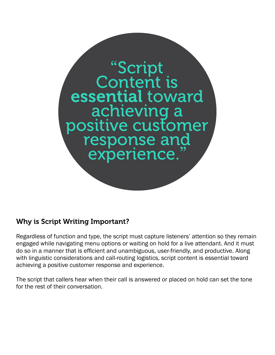<span id="page-5-0"></span>

#### Why is Script Writing Important?

Regardless of function and type, the script must capture listeners' attention so they remain engaged while navigating menu options or waiting on hold for a live attendant. And it must do so in a manner that is efficient and unambiguous, user-friendly, and productive. Along with linguistic considerations and call-routing logistics, script content is essential toward achieving a positive customer response and experience.

The script that callers hear when their call is answered or placed on hold can set the tone for the rest of their conversation.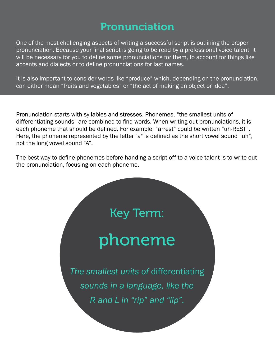### Pronunciation

<span id="page-6-0"></span>One of the most challenging aspects of writing a successful script is outlining the proper pronunciation. Because your final script is going to be read by a professional voice talent, it will be necessary for you to define some pronunciations for them, to account for things like accents and dialects or to define pronunciations for last names.

It is also important to consider words like "produce" which, depending on the pronunciation, can either mean "fruits and vegetables" or "the act of making an object or idea".

Pronunciation starts with syllables and stresses. Phonemes, "the smallest units of differentiating sounds" are combined to find words. When writing out pronunciations, it is each phoneme that should be defined. For example, "arrest" could be written "uh-REST". Here, the phoneme represented by the letter "a" is defined as the short vowel sound "uh", not the long vowel sound "A".

The best way to define phonemes before handing a script off to a voice talent is to write out the pronunciation, focusing on each phoneme.

Key Term:

# phoneme

*The smallest units of* differentiating *sounds in a language, like the R and L in "rip" and "lip".*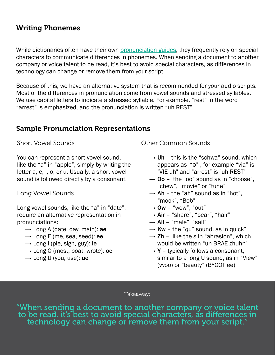#### <span id="page-7-0"></span>Writing Phonemes

While dictionaries often have their own [pronunciation guides](http://www.merriam-webster.com/help/pronguide.htm), they frequently rely on special characters to communicate differences in phonemes. When sending a document to another company or voice talent to be read, it's best to avoid special characters, as differences in technology can change or remove them from your script.

Because of this, we have an alternative system that is recommended for your audio scripts. Most of the differences in pronunciation come from vowel sounds and stressed syllables. We use capital letters to indicate a stressed syllable. For example, "rest" in the word "arrest" is emphasized, and the pronunciation is written "uh REST".

#### Sample Pronunciation Representations

Short Vowel Sounds

You can represent a short vowel sound, like the "a" in "apple", simply by writing the letter a, e, i, o, or u. Usually, a short vowel sound is followed directly by a consonant.

Long Vowel Sounds

Long vowel sounds, like the "a" in "date", require an alternative representation in pronunciations:

- $\rightarrow$  Long A (date, day, main): ae
- $\rightarrow$  Long E (me, sea, seed): ee
- $\rightarrow$  Long I (pie, sigh, guy): ie
- $\rightarrow$  Long O (most, boat, wrote): oe
- $\rightarrow$  Long U (you, use): ue

Other Common Sounds

- $\rightarrow$  Uh this is the "schwa" sound, which appears as "ə" , for example "via" is "VIE uh" and "arrest" is "uh REST"
- $\rightarrow$  00 the "oo" sound as in "choose", "chew", "movie" or "tune"
- $\rightarrow$  Ah the "ah" sound as in "hot". "mock", "Bob"
- $\rightarrow$  Ow "wow", "out"
- $\rightarrow$  Air "share", "bear", "hair"
- $\rightarrow$  Ail "male", "sail"
- $\rightarrow$  Kw the "qu" sound, as in quick"
- $\rightarrow$  Zh like the s in "abrasion", which would be written "uh BRAE zhuhn"
- $\rightarrow$  Y typically follows a consonant, similar to a long U sound, as in "View" (vyoo) or "beauty" (BYOOT ee)

Takeaway:

"When sending a document to another company or voice talent technology can change or remove them from your script.'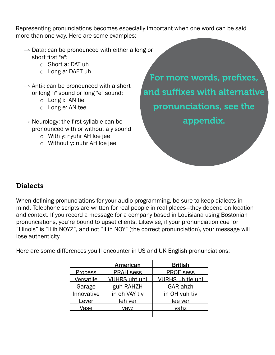<span id="page-8-0"></span>Representing pronunciations becomes especially important when one word can be said more than one way. Here are some examples:

- $\rightarrow$  Data: can be pronounced with either a long or short first "a":
	- o Short a: DAT uh
	- o Long a: DAET uh
- $\rightarrow$  Anti-: can be pronounced with a short or long "i" sound or long "e" sound:
	- o Long i: AN tie
	- o Long e: AN tee
- $\rightarrow$  Neurology: the first syllable can be pronounced with or without a y sound
	- o With y: nyuhr AH loe jee
	- o Without y: nuhr AH loe jee

For more words, prefixes, and suffixes with alternative pronunciations, see the appendix.

#### Dialects

When defining pronunciations for your audio programming, be sure to keep dialects in mind. Telephone scripts are written for real people in real places—they depend on location and context. If you record a message for a company based in Louisiana using Bostonian pronunciations, you're bound to upset clients. Likewise, if your pronunciation cue for "Illinois" is "il ih NOYZ", and not "il ih NOY" (the correct pronunciation), your message will lose authenticity.

Here are some differences you'll encounter in US and UK English pronunciations:

|                | <b>American</b>      | <b>British</b>          |
|----------------|----------------------|-------------------------|
| <b>Process</b> | <b>PRAH sess</b>     | <b>PROE sess</b>        |
| Versatile      | <b>VUHRS uht uhl</b> | <b>VURHS uh tie uhl</b> |
| Garage         | guh RAHZH            | <b>GAR ahzh</b>         |
| Innovative     | in oh VAY tiv        | <u>in OH vuh tiv</u>    |
| Lever          | leh ver              | <u>lee ver</u>          |
| Vase           | <u>vavz</u>          | vahz                    |
|                |                      |                         |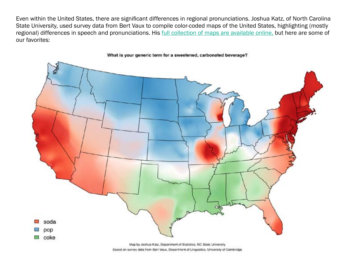Even within the United States, there are significant differences in regional pronunciations. Joshua Katz, of North Carolina State University, used survey data from Bert Vaux to compile color-coded maps of the United States, highlighting (mostly regional) differences in speech and pronunciations. His *full collection of maps are available online*, but here are some of our favorites:



Based on survey data from Bert Vaux, Department of Linguistics, University of Cambridge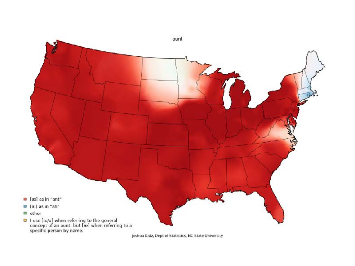

Joshua Katz, Dept of Statistics, NC State University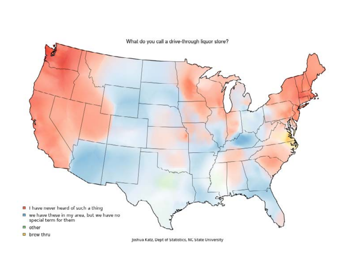

brew thru

Joshua Katz, Dept of Statistics, NC State University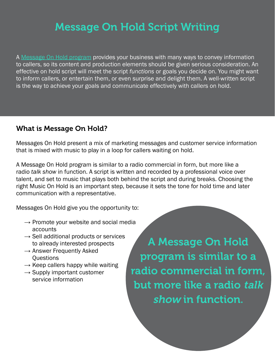# Message On Hold Script Writing

<span id="page-12-0"></span>A [Message On Hold program](http://www.holdcom.com/message-on-hold/) provides your business with many ways to convey information to callers, so its content and production elements should be given serious consideration. An effective on hold script will meet the script *functions* or goals you decide on. You might want to inform callers, or entertain them, or even surprise and delight them. A well-written script is the way to achieve your goals and communicate effectively with callers on hold.

#### What is Message On Hold?

Messages On Hold present a mix of marketing messages and customer service information that is mixed with music to play in a loop for callers waiting on hold.

A Message On Hold program is similar to a radio commercial in form, but more like a radio *talk show* in function. A script is written and recorded by a professional voice over talent, and set to music that plays both behind the script and during breaks. Choosing the right Music On Hold is an important step, because it sets the tone for hold time and later communication with a representative.

Messages On Hold give you the opportunity to:

- $\rightarrow$  Promote your website and social media accounts
- $\rightarrow$  Sell additional products or services to already interested prospects
- $\rightarrow$  Answer Frequently Asked **Ouestions**
- $\rightarrow$  Keep callers happy while waiting
- $\rightarrow$  Supply important customer service information

A Message On Hold program is similar to a radio commercial in form, but more like a radio talk show in function.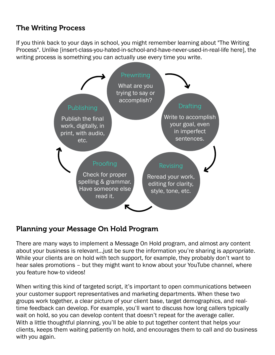#### <span id="page-13-0"></span>The Writing Process

If you think back to your days in school, you might remember learning about "The Writing Process". Unlike [insert-class-you-hated-in-school-and-have-never-used-in-real-life here], the writing process is something you can actually use every time you write.



#### Planning your Message On Hold Program

There are many ways to implement a Message On Hold program, and almost *any* content about your business is relevant…just be sure the information you're sharing is *appropriate*. While your clients are on hold with tech support, for example, they probably don't want to hear sales promotions – but they might want to know about your YouTube channel, where you feature how-to videos!

When writing this kind of targeted script, it's important to open communications between your customer support representatives and marketing departments. When these two groups work together, a clear picture of your client base, target demographics, and realtime feedback can develop. For example, you'll want to discuss how long callers typically wait on hold, so you can develop content that doesn't repeat for the average caller. With a little thoughtful planning, you'll be able to put together content that helps your clients, keeps them waiting patiently on hold, and encourages them to call and do business with you again.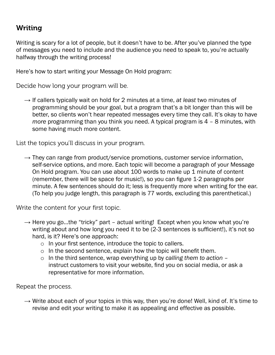#### Writing

Writing is scary for a lot of people, but it doesn't have to be. After you've planned the type of messages you need to include and the audience you need to speak to, you're actually halfway through the writing process!

Here's how to start writing your Message On Hold program:

Decide how long your program will be.

 $\rightarrow$  If callers typically wait on hold for 2 minutes at a time, at least two minutes of programming should be your goal, but a program that's a bit longer than this will be better, so clients won't hear repeated messages every time they call. It's okay to have *more* programming than you think you need. A typical program is 4 – 8 minutes, with some having much more content.

List the topics you'll discuss in your program.

 $\rightarrow$  They can range from product/service promotions, customer service information, self-service options, and more. Each topic will become a paragraph of your Message On Hold program. You can use about 100 words to make up 1 minute of content (remember, there will be space for music!), so you can figure 1-2 paragraphs per minute. A few sentences should do it; less is frequently more when writing for the ear. (To help you judge length, this paragraph is 77 words, excluding this parenthetical.)

Write the content for your first topic.

- $\rightarrow$  Here you go...the "tricky" part actual writing! Except when you know what you're writing about and how long you need it to be (2-3 sentences is sufficient!), it's not so hard, is it? Here's one approach:
	- o In your first sentence, introduce the topic to callers.
	- o In the second sentence, explain how the topic will benefit them.
	- o In the third sentence, wrap everything up by *calling them to action* instruct customers to visit your website, find you on social media, or ask a representative for more information.

Repeat the process.

 $\rightarrow$  Write about each of your topics in this way, then you're done! Well, kind of. It's time to revise and edit your writing to make it as appealing and effective as possible.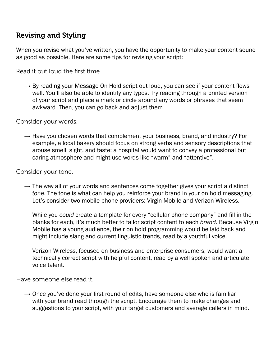#### <span id="page-15-0"></span>Revising and Styling

When you revise what you've written, you have the opportunity to make your content sound as good as possible. Here are some tips for revising your script:

Read it out loud the first time.

 $\rightarrow$  By reading your Message On Hold script out loud, you can see if your content flows well. You'll also be able to identify any typos. Try reading through a printed version of your script and place a mark or circle around any words or phrases that seem awkward. Then, you can go back and adjust them.

Consider your words.

 $\rightarrow$  Have you chosen words that complement your business, brand, and industry? For example, a local bakery should focus on strong verbs and sensory descriptions that arouse smell, sight, and taste; a hospital would want to convey a professional but caring atmosphere and might use words like "warm" and "attentive".

Consider your tone.

 $\rightarrow$  The way all of your words and sentences come together gives your script a distinct *tone*. The tone is what can help you reinforce your brand in your on hold messaging. Let's consider two mobile phone providers: Virgin Mobile and Verizon Wireless.

While you *could* create a template for every "cellular phone company" and fill in the blanks for each, it's much better to tailor script content to each *brand*. Because Virgin Mobile has a young audience, their on hold programming would be laid back and might include slang and current linguistic trends, read by a youthful voice.

Verizon Wireless, focused on business and enterprise consumers, would want a technically correct script with helpful content, read by a well spoken and articulate voice talent.

Have someone else read it.

 $\rightarrow$  Once you've done your first round of edits, have someone else who is familiar with your brand read through the script. Encourage them to make changes and suggestions to your script, with your target customers and average callers in mind.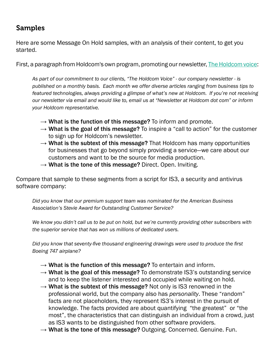#### <span id="page-16-0"></span>Samples

Here are some Message On Hold samples, with an analysis of their content, to get you started.

First, a paragraph from Holdcom's own program, promoting our newsletter, [The Holdcom voice](http://soundcommunication.holdcom.com/subscribe-to-holdcom-newsletter-/):

*As part of our commitment to our clients, "The Holdcom Voice" - our company newsletter - is published on a monthly basis. Each month we offer diverse articles ranging from business tips to featured technologies, always providing a glimpse of what's new at Holdcom. If you're not receiving our newsletter via email and would like to, email us at "Newsletter at Holdcom dot com" or inform your Holdcom representative.*

- $\rightarrow$  What is the function of this message? To inform and promote.
- $\rightarrow$  What is the goal of this message? To inspire a "call to action" for the customer to sign up for Holdcom's newsletter.
- $\rightarrow$  What is the subtext of this message? That Holdcom has many opportunities for businesses that go beyond simply providing a service—we care about our customers and want to be *the* source for media production.
- $\rightarrow$  What is the tone of this message? Direct. Open. Inviting.

Compare that sample to these segments from a script for IS3, a security and antivirus software company:

*Did you know that our premium support team was nominated for the American Business Association's Stevie Award for Outstanding Customer Service?*

*We know you didn't call us to be put on hold, but we're currently providing other subscribers with the superior service that has won us millions of dedicated users.*

*Did you know that seventy-five thousand engineering drawings were used to produce the first Boeing 747 airplane?*

- $\rightarrow$  What is the function of this message? To entertain and inform.
- $\rightarrow$  What is the goal of this message? To demonstrate IS3's outstanding service and to keep the listener interested and occupied while waiting on hold.
- $\rightarrow$  What is the subtext of this message? Not only is IS3 renowned in the professional world, but the company also has *personality*. These "random" facts are not placeholders, they represent IS3's interest in the pursuit of knowledge. The facts provided are about quantifying "the greatest" or "the most", the characteristics that can distinguish an individual from a crowd, just as IS3 wants to be distinguished from other software providers.
- $\rightarrow$  What is the tone of this message? Outgoing. Concerned. Genuine. Fun.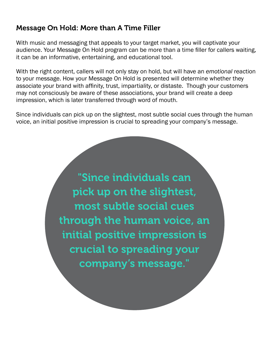#### <span id="page-17-0"></span>Message On Hold: More than A Time Filler

With music and messaging that appeals to your target market, you will captivate your audience. Your Message On Hold program can be more than a time filler for callers waiting, it can be an informative, entertaining, and educational tool.

With the right content, callers will not only stay on hold, but will have an *emotional* reaction to your message. How your Message On Hold is presented will determine whether they associate your brand with affinity, trust, impartiality, or distaste. Though your customers may not consciously be aware of these associations, your brand will create a deep impression, which is later transferred through word of mouth.

Since individuals can pick up on the slightest, most subtle social cues through the human voice, an initial positive impression is crucial to spreading your company's message.

> "Since individuals can pick up on the slightest, most subtle social cues through the human voice, an initial positive impression is crucial to spreading your company's message."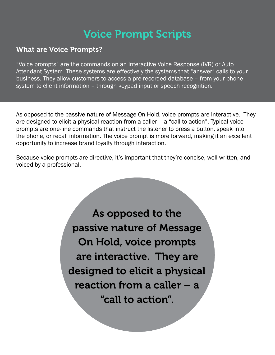# Voice Prompt Scripts

#### <span id="page-18-0"></span>What are Voice Prompts?

"Voice prompts" are the commands on an Interactive Voice Response (IVR) or Auto Attendant System. These systems are effectively the systems that "answer" calls to your business. They allow customers to access a pre-recorded database – from your phone system to client information – through keypad input or speech recognition.

As opposed to the passive nature of Message On Hold, voice prompts are interactive. They are designed to elicit a physical reaction from a caller – a "call to action". Typical voice prompts are one-line commands that instruct the listener to press a button, speak into the phone, or recall information. The voice prompt is more forward, making it an excellent opportunity to increase brand loyalty through interaction.

Because voice prompts are directive, it's important that they're concise, well written, and voiced by a professional.

> As opposed to the passive nature of Message On Hold, voice prompts are interactive. They are designed to elicit a physical reaction from a caller – a "call to action".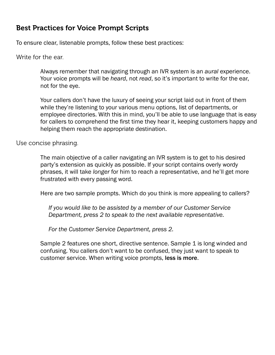#### Best Practices for Voice Prompt Scripts

To ensure clear, listenable prompts, follow these best practices:

Write for the ear.

Always remember that navigating through an IVR system is an *aural* experience. Your voice prompts will be *heard*, not *read*, so it's important to write for the ear, not for the eye.

Your callers don't have the luxury of seeing your script laid out in front of them while they're listening to your various menu options, list of departments, or employee directories. With this in mind, you'll be able to use language that is easy for callers to comprehend the first time they hear it, keeping customers happy and helping them reach the appropriate destination.

Use concise phrasing.

The main objective of a caller navigating an IVR system is to get to his desired party's extension as quickly as possible. If your script contains overly wordy phrases, it will take *longer* for him to reach a representative, and he'll get more frustrated with every passing word.

Here are two sample prompts. Which do you think is more appealing to callers?

*If you would like to be assisted by a member of our Customer Service Department, press 2 to speak to the next available representative.*

*For the Customer Service Department, press 2.*

Sample 2 features one short, directive sentence. Sample 1 is long winded and confusing. You callers don't want to be confused, they just want to speak to customer service. When writing voice prompts, less is more.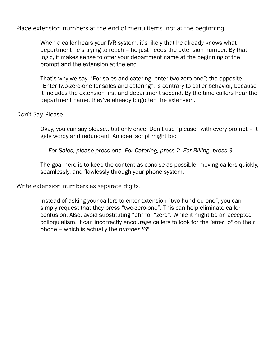Place extension numbers at the end of menu items, not at the beginning.

When a caller hears your IVR system, it's likely that he already knows what department he's trying to reach – he just needs the extension number. By that logic, it makes sense to offer your department name at the beginning of the prompt and the extension at the end.

That's why we say, "For sales and catering, enter two-zero-one"; the opposite, "Enter two-zero-one for sales and catering", is contrary to caller behavior, because it includes the extension first and department second. By the time callers hear the department name, they've already forgotten the extension.

Don't Say Please.

Okay, you can say please…but only once. Don't use "please" with every prompt – it gets wordy and redundant. An ideal script might be:

*For Sales, please press one. For Catering, press 2. For Billing, press 3.*

The goal here is to keep the content as concise as possible, moving callers quickly, seamlessly, and flawlessly through your phone system.

Write extension numbers as separate digits.

Instead of asking your callers to enter extension "two hundred one", you can simply request that they press "two-zero-one". This can help eliminate caller confusion. Also, avoid substituting "oh" for "zero". While it might be an accepted colloquialism, it can incorrectly encourage callers to look for the *letter* "o" on their phone – which is actually the *number* "6".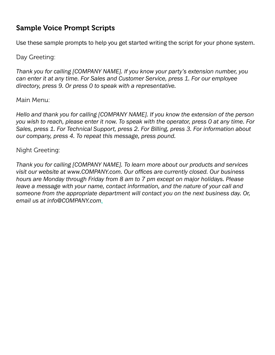#### <span id="page-21-0"></span>Sample Voice Prompt Scripts

Use these sample prompts to help you get started writing the script for your phone system.

Day Greeting:

*Thank you for calling [COMPANY NAME]. If you know your party's extension number, you can enter it at any time. For Sales and Customer Service, press 1. For our employee directory, press 9. Or press 0 to speak with a representative.*

Main Menu:

*Hello and thank you for calling [COMPANY NAME]. If you know the extension of the person you wish to reach, please enter it now. To speak with the operator, press 0 at any time. For Sales, press 1. For Technical Support, press 2. For Billing, press 3. For information about our company, press 4. To repeat this message, press pound.*

Night Greeting:

*Thank you for calling [COMPANY NAME]. To learn more about our products and services visit our website at [www.COMPANY.com](http://www.COMPANY.com). Our offices are currently closed. Our business hours are Monday through Friday from 8 am to 7 pm except on major holidays. Please leave a message with your name, contact information, and the nature of your call and someone from the appropriate department will contact you on the next business day. Or, email us at [info@COMPANY.com](mailto:info@COMPANY.com).*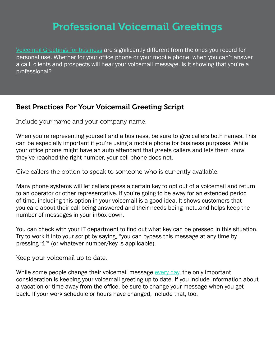## Professional Voicemail Greetings

<span id="page-22-0"></span>[Voicemail Greetings for business](http://www.holdcom.com/voicemailgreetings) are significantly different from the ones you record for personal use. Whether for your office phone or your mobile phone, when you can't answer a call, clients and prospects will hear your voicemail message. Is it showing that you're a professional?

#### Best Practices For Your Voicemail Greeting Script

Include your name and your company name.

When you're representing yourself and a business, be sure to give callers both names. This can be especially important if you're using a mobile phone for business purposes. While your office phone might have an auto attendant that greets callers and lets them know they've reached the right number, your cell phone does not.

Give callers the option to speak to someone who is currently available.

Many phone systems will let callers press a certain key to opt out of a voicemail and return to an operator or other representative. If you're going to be away for an extended period of time, including this option in your voicemail is a good idea. It shows customers that you care about their call being answered and their needs being met…and helps keep the number of messages in your inbox down.

You can check with your IT department to find out what key can be pressed in this situation. Try to work it into your script by saying, "you can bypass this message at any time by pressing '1'" (or whatever number/key is applicable).

Keep your voicemail up to date.

While some people change their voicemail message [every day](http://michaelhyatt.com/a-better-voice-mail-greeting.html), the only important consideration is keeping your voicemail greeting up to date. If you include information about a vacation or time away from the office, be sure to change your message when you get back. If your work schedule or hours have changed, include that, too.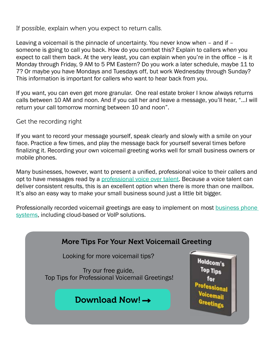<span id="page-23-0"></span>If possible, explain when you expect to return calls.

Leaving a voicemail is the pinnacle of uncertainty. You never know when – and if – someone is going to call you back. How do you combat this? Explain to callers *when* you expect to call them back. At the very least, you can explain when you're in the office – is it Monday through Friday, 9 AM to 5 PM Eastern? Do you work a later schedule, maybe 11 to 7? Or maybe you have Mondays and Tuesdays off, but work Wednesday through Sunday? This information is important for callers who want to hear back from you.

If you want, you can even get more granular. One real estate broker I know always returns calls between 10 AM and noon. And if you call her and leave a message, you'll hear, "…I will return your call tomorrow morning between 10 and noon".

Get the recording right

If you want to record your message yourself, speak clearly and slowly with a smile on your face. Practice a few times, and play the message back for yourself several times before finalizing it. Recording your own voicemail greeting works well for small business owners or mobile phones.

Many businesses, however, want to present a unified, professional voice to their callers and opt to have messages read by a [professional voice over talent](http://www.holdcom.com/voice_talent.php). Because a voice talent can deliver consistent results, this is an excellent option when there is more than one mailbox. It's also an easy way to make your small business sound just a little bit bigger.

Professionally recorded voicemail greetings are easy to implement on most [business phone](http://www.holdcom.com/audio-production-for-telephone-applications/)  [systems](http://www.holdcom.com/audio-production-for-telephone-applications/), including cloud-based or VoIP solutions.

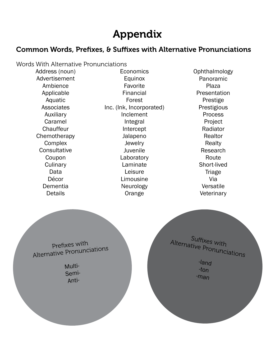## Appendix

#### <span id="page-24-0"></span>Common Words, Prefixes, & Suffixes with Alternative Pronunciations

Words With Alternative Pronunciations Address (noun) Advertisement Ambience Applicable Aquatic **Associates** Auxiliary Caramel **Chauffeur Chemotherapy Complex Consultative** Coupon **Culinary** Data Décor Dementia **Details** Economics Equinox Favorite Financial Forest Inc. (Ink, Incorporated) Inclement Integral Intercept Jalapeno **Jewelry** Juvenile Laboratory Laminate Leisure Limousine Neurology **Orange Ophthalmology** Panoramic Plaza **Presentation** Prestige Prestigious Process Project Radiator Realtor Realty Research **Route** Short-lived Triage Via Versatile **Veterinary** Suffixes with Alternative Pronunciations -land -ton -man Prefixes with Alternative Pronunciations Multi-Semi-Anti-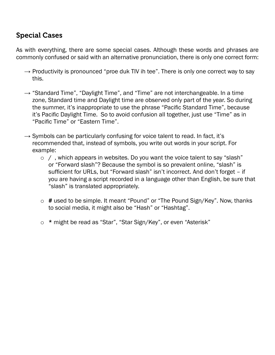#### <span id="page-25-0"></span>Special Cases

As with everything, there are some special cases. Although these words and phrases are commonly confused or said with an alternative pronunciation, there is only one correct form:

- $\rightarrow$  Productivity is pronounced "proe duk TIV ih tee". There is only one correct way to say this.
- $\rightarrow$  "Standard Time", "Daylight Time", and "Time" are not interchangeable. In a time zone, Standard time and Daylight time are observed only part of the year. So during the summer, it's inappropriate to use the phrase "Pacific Standard Time", because it's Pacific Daylight Time. So to avoid confusion all together, just use "Time" as in "Pacific Time" or "Eastern Time".
- $\rightarrow$  Symbols can be particularly confusing for voice talent to read. In fact, it's recommended that, instead of symbols, you write out words in your script. For example:
	- o / , which appears in websites. Do you want the voice talent to say "slash" or "Forward slash"? Because the symbol is so prevalent online, "slash" is sufficient for URLs, but "Forward slash" isn't incorrect. And don't forget – if you are having a script recorded in a language other than English, be sure that "slash" is translated appropriately.
	- o # used to be simple. It meant "Pound" or "The Pound Sign/Key". Now, thanks to social media, it might also be "Hash" or "Hashtag".
	- o \* might be read as "Star", "Star Sign/Key", or even "Asterisk"